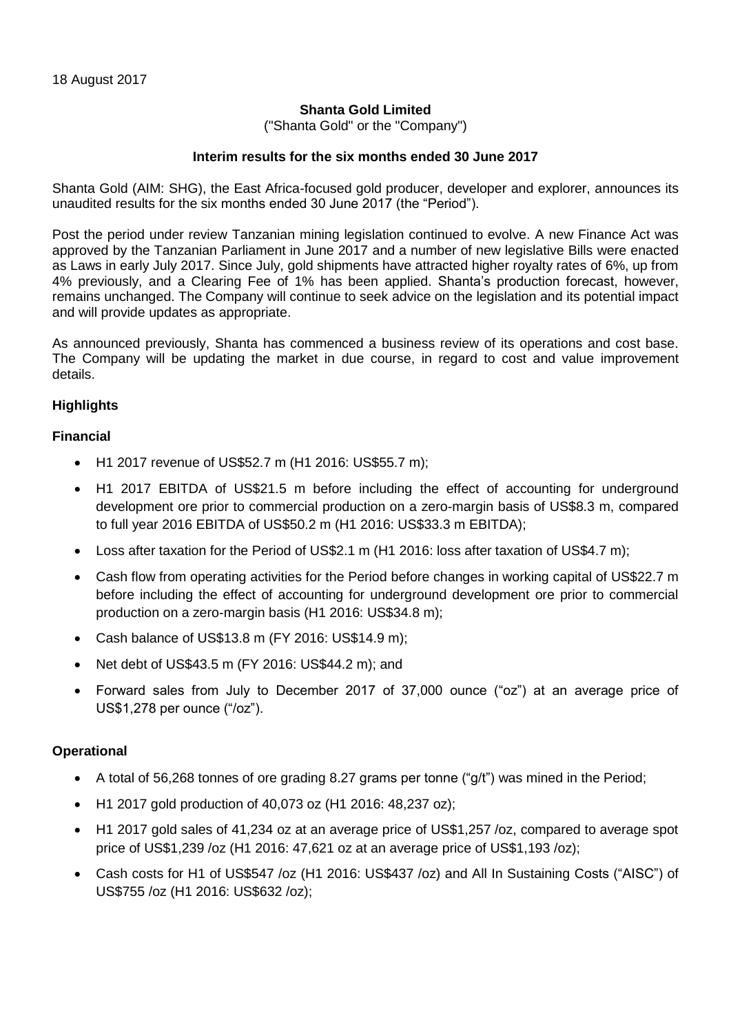## **Shanta Gold Limited**

("Shanta Gold" or the "Company")

### **Interim results for the six months ended 30 June 2017**

Shanta Gold (AIM: SHG), the East Africa-focused gold producer, developer and explorer, announces its unaudited results for the six months ended 30 June 2017 (the "Period").

Post the period under review Tanzanian mining legislation continued to evolve. A new Finance Act was approved by the Tanzanian Parliament in June 2017 and a number of new legislative Bills were enacted as Laws in early July 2017. Since July, gold shipments have attracted higher royalty rates of 6%, up from 4% previously, and a Clearing Fee of 1% has been applied. Shanta's production forecast, however, remains unchanged. The Company will continue to seek advice on the legislation and its potential impact and will provide updates as appropriate.

As announced previously, Shanta has commenced a business review of its operations and cost base. The Company will be updating the market in due course, in regard to cost and value improvement details.

### **Highlights**

### **Financial**

- H1 2017 revenue of US\$52.7 m (H1 2016: US\$55.7 m);
- H1 2017 EBITDA of US\$21.5 m before including the effect of accounting for underground development ore prior to commercial production on a zero-margin basis of US\$8.3 m, compared to full year 2016 EBITDA of US\$50.2 m (H1 2016: US\$33.3 m EBITDA);
- Loss after taxation for the Period of US\$2.1 m (H1 2016: loss after taxation of US\$4.7 m);
- Cash flow from operating activities for the Period before changes in working capital of US\$22.7 m before including the effect of accounting for underground development ore prior to commercial production on a zero-margin basis (H1 2016: US\$34.8 m);
- Cash balance of US\$13.8 m (FY 2016: US\$14.9 m);
- Net debt of US\$43.5 m (FY 2016: US\$44.2 m); and
- Forward sales from July to December 2017 of 37,000 ounce ("oz") at an average price of US\$1,278 per ounce ("/oz").

### **Operational**

- A total of 56,268 tonnes of ore grading 8.27 grams per tonne ("g/t") was mined in the Period;
- H1 2017 gold production of 40,073 oz (H1 2016: 48,237 oz);
- H1 2017 gold sales of 41,234 oz at an average price of US\$1,257 /oz, compared to average spot price of US\$1,239 /oz (H1 2016: 47,621 oz at an average price of US\$1,193 /oz);
- Cash costs for H1 of US\$547 /oz (H1 2016: US\$437 /oz) and All In Sustaining Costs ("AISC") of US\$755 /oz (H1 2016: US\$632 /oz);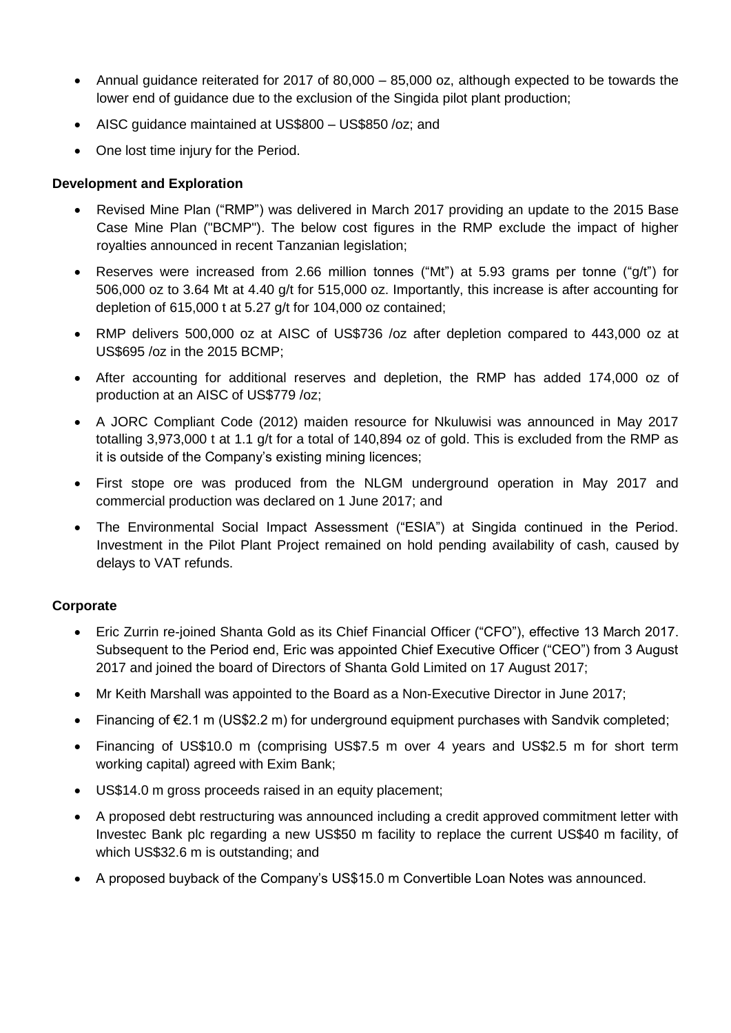- Annual guidance reiterated for 2017 of 80,000 85,000 oz, although expected to be towards the lower end of guidance due to the exclusion of the Singida pilot plant production;
- AISC guidance maintained at US\$800 US\$850 /oz; and
- One lost time injury for the Period.

# **Development and Exploration**

- Revised Mine Plan ("RMP") was delivered in March 2017 providing an update to the 2015 Base Case Mine Plan ("BCMP"). The below cost figures in the RMP exclude the impact of higher royalties announced in recent Tanzanian legislation;
- Reserves were increased from 2.66 million tonnes ("Mt") at 5.93 grams per tonne ("g/t") for 506,000 oz to 3.64 Mt at 4.40 g/t for 515,000 oz. Importantly, this increase is after accounting for depletion of 615,000 t at 5.27 g/t for 104,000 oz contained;
- RMP delivers 500,000 oz at AISC of US\$736 /oz after depletion compared to 443,000 oz at US\$695 /oz in the 2015 BCMP;
- After accounting for additional reserves and depletion, the RMP has added 174,000 oz of production at an AISC of US\$779 /oz;
- A JORC Compliant Code (2012) maiden resource for Nkuluwisi was announced in May 2017 totalling 3,973,000 t at 1.1 g/t for a total of 140,894 oz of gold. This is excluded from the RMP as it is outside of the Company's existing mining licences;
- First stope ore was produced from the NLGM underground operation in May 2017 and commercial production was declared on 1 June 2017; and
- The Environmental Social Impact Assessment ("ESIA") at Singida continued in the Period. Investment in the Pilot Plant Project remained on hold pending availability of cash, caused by delays to VAT refunds.

### **Corporate**

- Eric Zurrin re-joined Shanta Gold as its Chief Financial Officer ("CFO"), effective 13 March 2017. Subsequent to the Period end, Eric was appointed Chief Executive Officer ("CEO") from 3 August 2017 and joined the board of Directors of Shanta Gold Limited on 17 August 2017;
- Mr Keith Marshall was appointed to the Board as a Non-Executive Director in June 2017;
- Financing of €2.1 m (US\$2.2 m) for underground equipment purchases with Sandvik completed;
- Financing of US\$10.0 m (comprising US\$7.5 m over 4 years and US\$2.5 m for short term working capital) agreed with Exim Bank;
- US\$14.0 m gross proceeds raised in an equity placement;
- A proposed debt restructuring was announced including a credit approved commitment letter with Investec Bank plc regarding a new US\$50 m facility to replace the current US\$40 m facility, of which US\$32.6 m is outstanding; and
- A proposed buyback of the Company's US\$15.0 m Convertible Loan Notes was announced.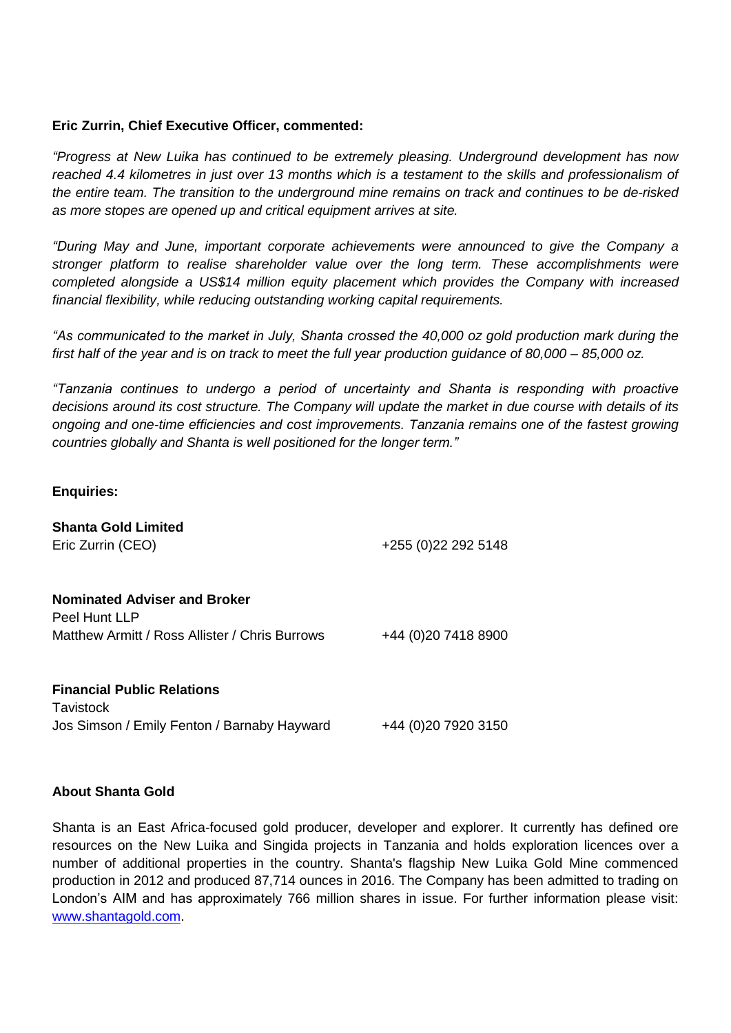### **Eric Zurrin, Chief Executive Officer, commented:**

*"Progress at New Luika has continued to be extremely pleasing. Underground development has now reached 4.4 kilometres in just over 13 months which is a testament to the skills and professionalism of the entire team. The transition to the underground mine remains on track and continues to be de-risked as more stopes are opened up and critical equipment arrives at site.*

*"During May and June, important corporate achievements were announced to give the Company a stronger platform to realise shareholder value over the long term. These accomplishments were completed alongside a US\$14 million equity placement which provides the Company with increased financial flexibility, while reducing outstanding working capital requirements.*

*"As communicated to the market in July, Shanta crossed the 40,000 oz gold production mark during the first half of the year and is on track to meet the full year production guidance of 80,000 – 85,000 oz.*

*"Tanzania continues to undergo a period of uncertainty and Shanta is responding with proactive decisions around its cost structure. The Company will update the market in due course with details of its ongoing and one-time efficiencies and cost improvements. Tanzania remains one of the fastest growing countries globally and Shanta is well positioned for the longer term."* 

### **Enquiries:**

| <b>Shanta Gold Limited</b><br>Eric Zurrin (CEO)                                                        | +255 (0) 22 292 5148 |
|--------------------------------------------------------------------------------------------------------|----------------------|
| <b>Nominated Adviser and Broker</b><br>Peel Hunt LLP<br>Matthew Armitt / Ross Allister / Chris Burrows | +44 (0) 20 7418 8900 |
| <b>Financial Public Relations</b>                                                                      |                      |

**Tavistock** Jos Simson / Emily Fenton / Barnaby Hayward +44 (0)20 7920 3150

### **About Shanta Gold**

Shanta is an East Africa-focused gold producer, developer and explorer. It currently has defined ore resources on the New Luika and Singida projects in Tanzania and holds exploration licences over a number of additional properties in the country. Shanta's flagship New Luika Gold Mine commenced production in 2012 and produced 87,714 ounces in 2016. The Company has been admitted to trading on London's AIM and has approximately 766 million shares in issue. For further information please visit: [www.shantagold.com.](http://www.shantagold.com/)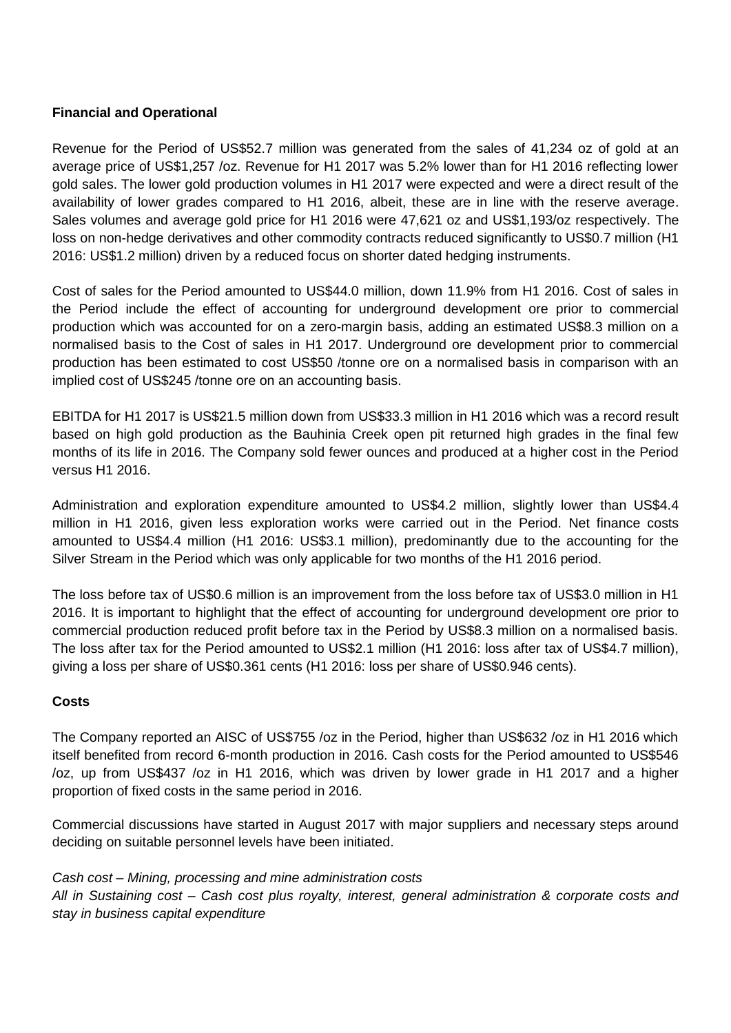# **Financial and Operational**

Revenue for the Period of US\$52.7 million was generated from the sales of 41,234 oz of gold at an average price of US\$1,257 /oz. Revenue for H1 2017 was 5.2% lower than for H1 2016 reflecting lower gold sales. The lower gold production volumes in H1 2017 were expected and were a direct result of the availability of lower grades compared to H1 2016, albeit, these are in line with the reserve average. Sales volumes and average gold price for H1 2016 were 47,621 oz and US\$1,193/oz respectively. The loss on non-hedge derivatives and other commodity contracts reduced significantly to US\$0.7 million (H1 2016: US\$1.2 million) driven by a reduced focus on shorter dated hedging instruments.

Cost of sales for the Period amounted to US\$44.0 million, down 11.9% from H1 2016. Cost of sales in the Period include the effect of accounting for underground development ore prior to commercial production which was accounted for on a zero-margin basis, adding an estimated US\$8.3 million on a normalised basis to the Cost of sales in H1 2017. Underground ore development prior to commercial production has been estimated to cost US\$50 /tonne ore on a normalised basis in comparison with an implied cost of US\$245 /tonne ore on an accounting basis.

EBITDA for H1 2017 is US\$21.5 million down from US\$33.3 million in H1 2016 which was a record result based on high gold production as the Bauhinia Creek open pit returned high grades in the final few months of its life in 2016. The Company sold fewer ounces and produced at a higher cost in the Period versus H1 2016.

Administration and exploration expenditure amounted to US\$4.2 million, slightly lower than US\$4.4 million in H1 2016, given less exploration works were carried out in the Period. Net finance costs amounted to US\$4.4 million (H1 2016: US\$3.1 million), predominantly due to the accounting for the Silver Stream in the Period which was only applicable for two months of the H1 2016 period.

The loss before tax of US\$0.6 million is an improvement from the loss before tax of US\$3.0 million in H1 2016. It is important to highlight that the effect of accounting for underground development ore prior to commercial production reduced profit before tax in the Period by US\$8.3 million on a normalised basis. The loss after tax for the Period amounted to US\$2.1 million (H1 2016: loss after tax of US\$4.7 million), giving a loss per share of US\$0.361 cents (H1 2016: loss per share of US\$0.946 cents).

### **Costs**

The Company reported an AISC of US\$755 /oz in the Period, higher than US\$632 /oz in H1 2016 which itself benefited from record 6-month production in 2016. Cash costs for the Period amounted to US\$546 /oz, up from US\$437 /oz in H1 2016, which was driven by lower grade in H1 2017 and a higher proportion of fixed costs in the same period in 2016.

Commercial discussions have started in August 2017 with major suppliers and necessary steps around deciding on suitable personnel levels have been initiated.

*Cash cost – Mining, processing and mine administration costs All in Sustaining cost – Cash cost plus royalty, interest, general administration & corporate costs and stay in business capital expenditure*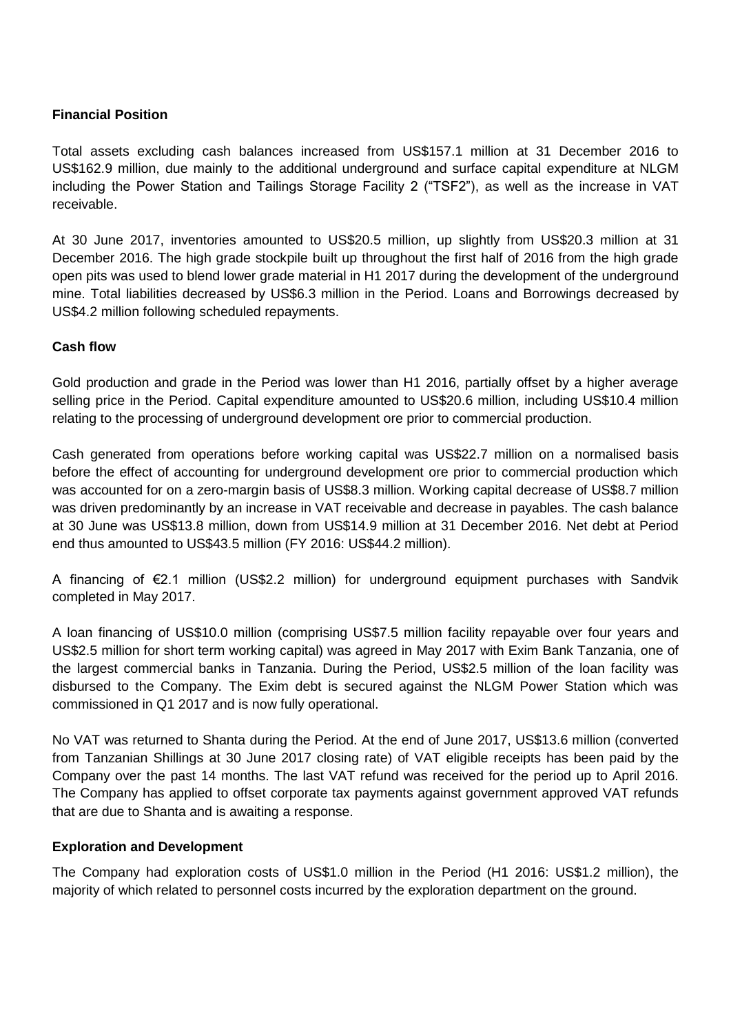# **Financial Position**

Total assets excluding cash balances increased from US\$157.1 million at 31 December 2016 to US\$162.9 million, due mainly to the additional underground and surface capital expenditure at NLGM including the Power Station and Tailings Storage Facility 2 ("TSF2"), as well as the increase in VAT receivable.

At 30 June 2017, inventories amounted to US\$20.5 million, up slightly from US\$20.3 million at 31 December 2016. The high grade stockpile built up throughout the first half of 2016 from the high grade open pits was used to blend lower grade material in H1 2017 during the development of the underground mine. Total liabilities decreased by US\$6.3 million in the Period. Loans and Borrowings decreased by US\$4.2 million following scheduled repayments.

# **Cash flow**

Gold production and grade in the Period was lower than H1 2016, partially offset by a higher average selling price in the Period. Capital expenditure amounted to US\$20.6 million, including US\$10.4 million relating to the processing of underground development ore prior to commercial production.

Cash generated from operations before working capital was US\$22.7 million on a normalised basis before the effect of accounting for underground development ore prior to commercial production which was accounted for on a zero-margin basis of US\$8.3 million. Working capital decrease of US\$8.7 million was driven predominantly by an increase in VAT receivable and decrease in payables. The cash balance at 30 June was US\$13.8 million, down from US\$14.9 million at 31 December 2016. Net debt at Period end thus amounted to US\$43.5 million (FY 2016: US\$44.2 million).

A financing of €2.1 million (US\$2.2 million) for underground equipment purchases with Sandvik completed in May 2017.

A loan financing of US\$10.0 million (comprising US\$7.5 million facility repayable over four years and US\$2.5 million for short term working capital) was agreed in May 2017 with Exim Bank Tanzania, one of the largest commercial banks in Tanzania. During the Period, US\$2.5 million of the loan facility was disbursed to the Company. The Exim debt is secured against the NLGM Power Station which was commissioned in Q1 2017 and is now fully operational.

No VAT was returned to Shanta during the Period. At the end of June 2017, US\$13.6 million (converted from Tanzanian Shillings at 30 June 2017 closing rate) of VAT eligible receipts has been paid by the Company over the past 14 months. The last VAT refund was received for the period up to April 2016. The Company has applied to offset corporate tax payments against government approved VAT refunds that are due to Shanta and is awaiting a response.

### **Exploration and Development**

The Company had exploration costs of US\$1.0 million in the Period (H1 2016: US\$1.2 million), the majority of which related to personnel costs incurred by the exploration department on the ground.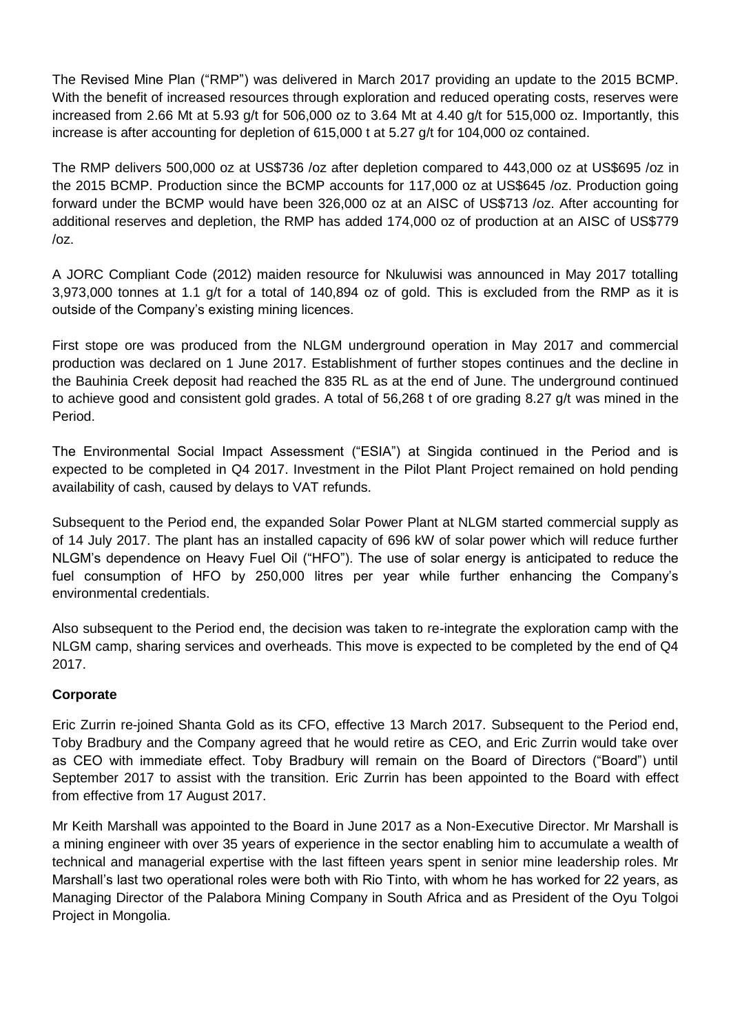The Revised Mine Plan ("RMP") was delivered in March 2017 providing an update to the 2015 BCMP. With the benefit of increased resources through exploration and reduced operating costs, reserves were increased from 2.66 Mt at 5.93 g/t for 506,000 oz to 3.64 Mt at 4.40 g/t for 515,000 oz. Importantly, this increase is after accounting for depletion of 615,000 t at 5.27 g/t for 104,000 oz contained.

The RMP delivers 500,000 oz at US\$736 /oz after depletion compared to 443,000 oz at US\$695 /oz in the 2015 BCMP. Production since the BCMP accounts for 117,000 oz at US\$645 /oz. Production going forward under the BCMP would have been 326,000 oz at an AISC of US\$713 /oz. After accounting for additional reserves and depletion, the RMP has added 174,000 oz of production at an AISC of US\$779 /oz.

A JORC Compliant Code (2012) maiden resource for Nkuluwisi was announced in May 2017 totalling 3,973,000 tonnes at 1.1 g/t for a total of 140,894 oz of gold. This is excluded from the RMP as it is outside of the Company's existing mining licences.

First stope ore was produced from the NLGM underground operation in May 2017 and commercial production was declared on 1 June 2017. Establishment of further stopes continues and the decline in the Bauhinia Creek deposit had reached the 835 RL as at the end of June. The underground continued to achieve good and consistent gold grades. A total of 56,268 t of ore grading 8.27 g/t was mined in the Period.

The Environmental Social Impact Assessment ("ESIA") at Singida continued in the Period and is expected to be completed in Q4 2017. Investment in the Pilot Plant Project remained on hold pending availability of cash, caused by delays to VAT refunds.

Subsequent to the Period end, the expanded Solar Power Plant at NLGM started commercial supply as of 14 July 2017. The plant has an installed capacity of 696 kW of solar power which will reduce further NLGM's dependence on Heavy Fuel Oil ("HFO"). The use of solar energy is anticipated to reduce the fuel consumption of HFO by 250,000 litres per year while further enhancing the Company's environmental credentials.

Also subsequent to the Period end, the decision was taken to re-integrate the exploration camp with the NLGM camp, sharing services and overheads. This move is expected to be completed by the end of Q4 2017.

# **Corporate**

Eric Zurrin re-joined Shanta Gold as its CFO, effective 13 March 2017. Subsequent to the Period end, Toby Bradbury and the Company agreed that he would retire as CEO, and Eric Zurrin would take over as CEO with immediate effect. Toby Bradbury will remain on the Board of Directors ("Board") until September 2017 to assist with the transition. Eric Zurrin has been appointed to the Board with effect from effective from 17 August 2017.

Mr Keith Marshall was appointed to the Board in June 2017 as a Non-Executive Director. Mr Marshall is a mining engineer with over 35 years of experience in the sector enabling him to accumulate a wealth of technical and managerial expertise with the last fifteen years spent in senior mine leadership roles. Mr Marshall's last two operational roles were both with Rio Tinto, with whom he has worked for 22 years, as Managing Director of the Palabora Mining Company in South Africa and as President of the Oyu Tolgoi Project in Mongolia.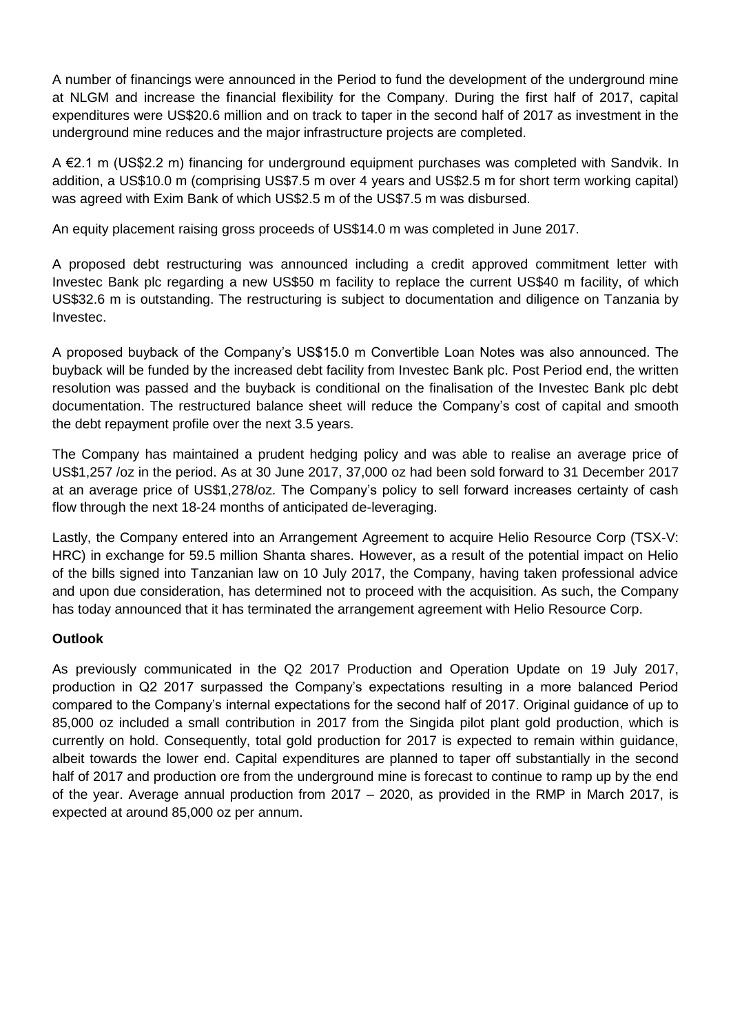A number of financings were announced in the Period to fund the development of the underground mine at NLGM and increase the financial flexibility for the Company. During the first half of 2017, capital expenditures were US\$20.6 million and on track to taper in the second half of 2017 as investment in the underground mine reduces and the major infrastructure projects are completed.

A €2.1 m (US\$2.2 m) financing for underground equipment purchases was completed with Sandvik. In addition, a US\$10.0 m (comprising US\$7.5 m over 4 years and US\$2.5 m for short term working capital) was agreed with Exim Bank of which US\$2.5 m of the US\$7.5 m was disbursed.

An equity placement raising gross proceeds of US\$14.0 m was completed in June 2017.

A proposed debt restructuring was announced including a credit approved commitment letter with Investec Bank plc regarding a new US\$50 m facility to replace the current US\$40 m facility, of which US\$32.6 m is outstanding. The restructuring is subject to documentation and diligence on Tanzania by Investec.

A proposed buyback of the Company's US\$15.0 m Convertible Loan Notes was also announced. The buyback will be funded by the increased debt facility from Investec Bank plc. Post Period end, the written resolution was passed and the buyback is conditional on the finalisation of the Investec Bank plc debt documentation. The restructured balance sheet will reduce the Company's cost of capital and smooth the debt repayment profile over the next 3.5 years.

The Company has maintained a prudent hedging policy and was able to realise an average price of US\$1,257 /oz in the period. As at 30 June 2017, 37,000 oz had been sold forward to 31 December 2017 at an average price of US\$1,278/oz. The Company's policy to sell forward increases certainty of cash flow through the next 18-24 months of anticipated de-leveraging.

Lastly, the Company entered into an Arrangement Agreement to acquire Helio Resource Corp (TSX-V: HRC) in exchange for 59.5 million Shanta shares. However, as a result of the potential impact on Helio of the bills signed into Tanzanian law on 10 July 2017, the Company, having taken professional advice and upon due consideration, has determined not to proceed with the acquisition. As such, the Company has today announced that it has terminated the arrangement agreement with Helio Resource Corp.

# **Outlook**

As previously communicated in the Q2 2017 Production and Operation Update on 19 July 2017, production in Q2 2017 surpassed the Company's expectations resulting in a more balanced Period compared to the Company's internal expectations for the second half of 2017. Original guidance of up to 85,000 oz included a small contribution in 2017 from the Singida pilot plant gold production, which is currently on hold. Consequently, total gold production for 2017 is expected to remain within guidance, albeit towards the lower end. Capital expenditures are planned to taper off substantially in the second half of 2017 and production ore from the underground mine is forecast to continue to ramp up by the end of the year. Average annual production from 2017 – 2020, as provided in the RMP in March 2017, is expected at around 85,000 oz per annum.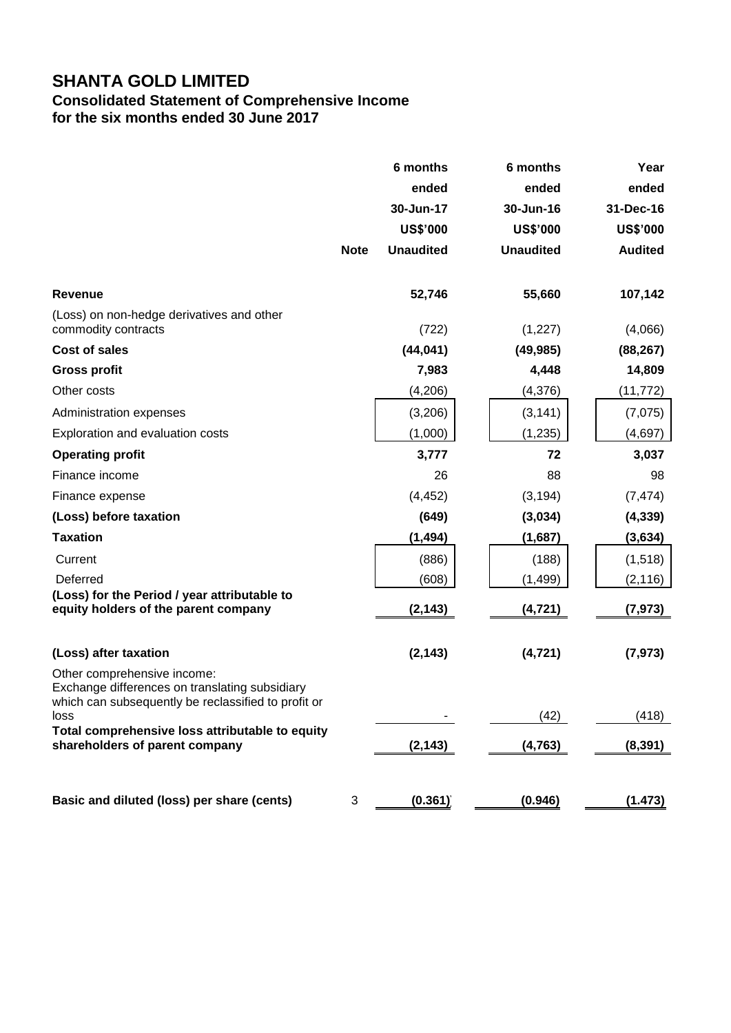# **SHANTA GOLD LIMITED**

# **Consolidated Statement of Comprehensive Income for the six months ended 30 June 2017**

|                                                                                                                                              | <b>Note</b> | 6 months<br>ended<br>30-Jun-17<br><b>US\$'000</b><br><b>Unaudited</b> | 6 months<br>ended<br>30-Jun-16<br><b>US\$'000</b><br><b>Unaudited</b> | Year<br>ended<br>31-Dec-16<br><b>US\$'000</b><br><b>Audited</b> |
|----------------------------------------------------------------------------------------------------------------------------------------------|-------------|-----------------------------------------------------------------------|-----------------------------------------------------------------------|-----------------------------------------------------------------|
| <b>Revenue</b>                                                                                                                               |             | 52,746                                                                | 55,660                                                                | 107,142                                                         |
| (Loss) on non-hedge derivatives and other<br>commodity contracts                                                                             |             | (722)                                                                 | (1, 227)                                                              | (4,066)                                                         |
| <b>Cost of sales</b>                                                                                                                         |             | (44, 041)                                                             | (49, 985)                                                             | (88, 267)                                                       |
| <b>Gross profit</b>                                                                                                                          |             | 7,983                                                                 | 4,448                                                                 | 14,809                                                          |
| Other costs                                                                                                                                  |             | (4,206)                                                               | (4, 376)                                                              | (11,772)                                                        |
| Administration expenses                                                                                                                      |             | (3,206)                                                               | (3, 141)                                                              | (7,075)                                                         |
| Exploration and evaluation costs                                                                                                             |             | (1,000)                                                               | (1, 235)                                                              | (4, 697)                                                        |
| <b>Operating profit</b>                                                                                                                      |             | 3,777                                                                 | 72                                                                    | 3,037                                                           |
| Finance income                                                                                                                               |             | 26                                                                    | 88                                                                    | 98                                                              |
| Finance expense                                                                                                                              |             | (4, 452)                                                              | (3, 194)                                                              | (7, 474)                                                        |
| (Loss) before taxation                                                                                                                       |             | (649)                                                                 | (3,034)                                                               | (4, 339)                                                        |
| <b>Taxation</b>                                                                                                                              |             | (1, 494)                                                              | (1,687)                                                               | (3,634)                                                         |
| Current<br>Deferred                                                                                                                          |             | (886)<br>(608)                                                        | (188)<br>(1, 499)                                                     | (1, 518)<br>(2, 116)                                            |
| (Loss) for the Period / year attributable to<br>equity holders of the parent company                                                         |             | (2, 143)                                                              | (4, 721)                                                              | (7, 973)                                                        |
| (Loss) after taxation                                                                                                                        |             | (2, 143)                                                              | (4, 721)                                                              | (7, 973)                                                        |
| Other comprehensive income:<br>Exchange differences on translating subsidiary<br>which can subsequently be reclassified to profit or<br>loss |             |                                                                       | (42)                                                                  | (418)                                                           |
| Total comprehensive loss attributable to equity<br>shareholders of parent company                                                            |             | (2, 143)                                                              | (4, 763)                                                              | (8, 391)                                                        |
| Basic and diluted (loss) per share (cents)                                                                                                   | 3           | (0.361)                                                               | (0.946)                                                               | (1.473)                                                         |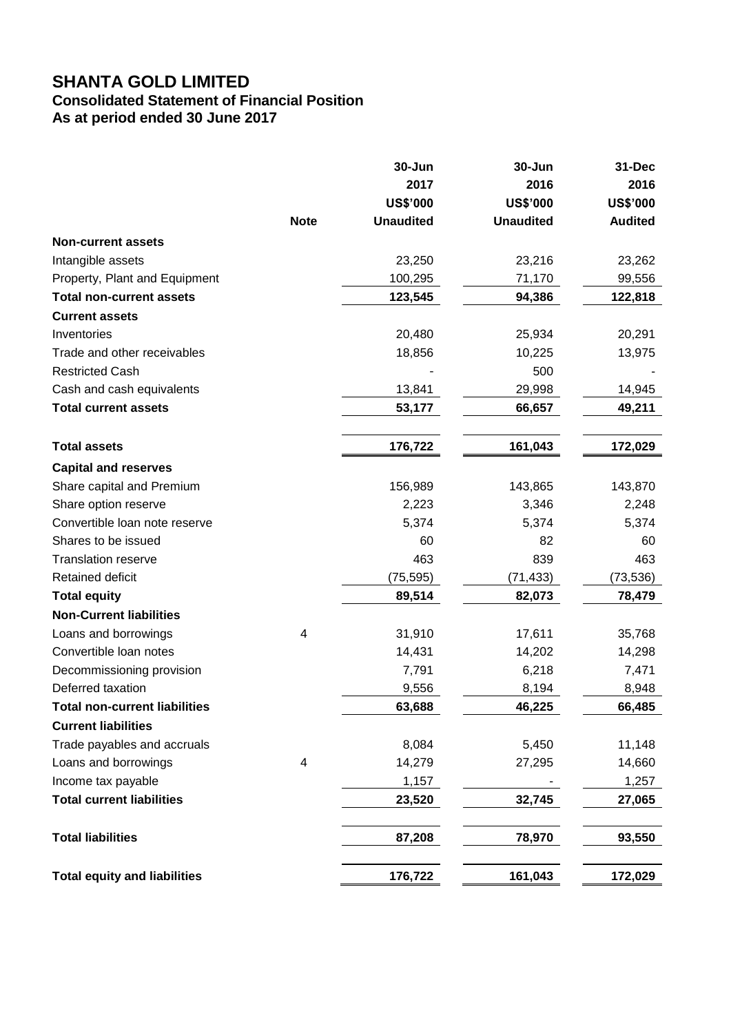# **SHANTA GOLD LIMITED**

### **Consolidated Statement of Financial Position As at period ended 30 June 2017**

**30-Jun 30-Jun 31-Dec 2017 2016 2016 US\$'000 US\$'000 US\$'000 Note Unaudited Unaudited Audited Non-current assets** Intangible assets 23,250 23,216 23,262 Property, Plant and Equipment 100,295 71,170 99,556 **Total non-current assets 123,545 94,386 122,818 Current assets** Inventories 20,480 25,934 20,291 Trade and other receivables and the receivables the state of the term of the 18,856 10,225 13,975 Restricted Cash 600 - 500 - 500 - 500 - 500 - 500 - 500 - 500 - 500 - 500 - 500 - 500 - 500 - 500 - 500 - 500 - 500 - 500 - 500 - 500 - 500 - 500 - 500 - 500 - 500 - 500 - 500 - 500 - 500 - 500 - 500 - 500 - 500 - 500 - 50 Cash and cash equivalents **13,841** 29,998 14,945 **Total current assets 53,177 66,657 49,211 Total assets 176,722 161,043 172,029 Capital and reserves** Share capital and Premium 156,989 143,865 143,870 Share option reserve 2,223 3,346 2,248 Convertible loan note reserve 5,374 5,374 5,374 5,374 Shares to be issued 60 82 60 Translation reserve 6 1 200 and 200 and 200 and 200 and 200 and 200 and 200 and 200 and 200 and 200 and 200 and 200 and 200 and 200 and 200 and 200 and 200 and 200 and 200 and 200 and 200 and 200 and 200 and 200 and 200 an Retained deficit (75,595) (71,433) (73,536) **Total equity 89,514 82,073 78,479 Non-Current liabilities** Loans and borrowings 4 31,910 17,611 35,768 Convertible loan notes 14,431 14,202 14,298 Decommissioning provision 7,791 6,218 7,471 Deferred taxation 8,948 **Total non-current liabilities 63,688 46,225 66,485 Current liabilities** Trade payables and accruals and  $8,084$  8,084 5,450 11,148 Loans and borrowings 14 14,279 27,295 14,660 Income tax payable and the state of the 1,157 and the 1,257 and 1,257 and 1,257 and 1,257 and 1,257 and 1,257 and 1,257 and 1,257 and 1,257 and 1,257 and 1,257 and 1,257 and 1,257 and 1,257 and 1,257 and 1,257 and 1,257 an **Total current liabilities 23,520 32,745 27,065 Total liabilities 87,208 78,970 93,550 Total equity and liabilities 176,722 161,043 172,029**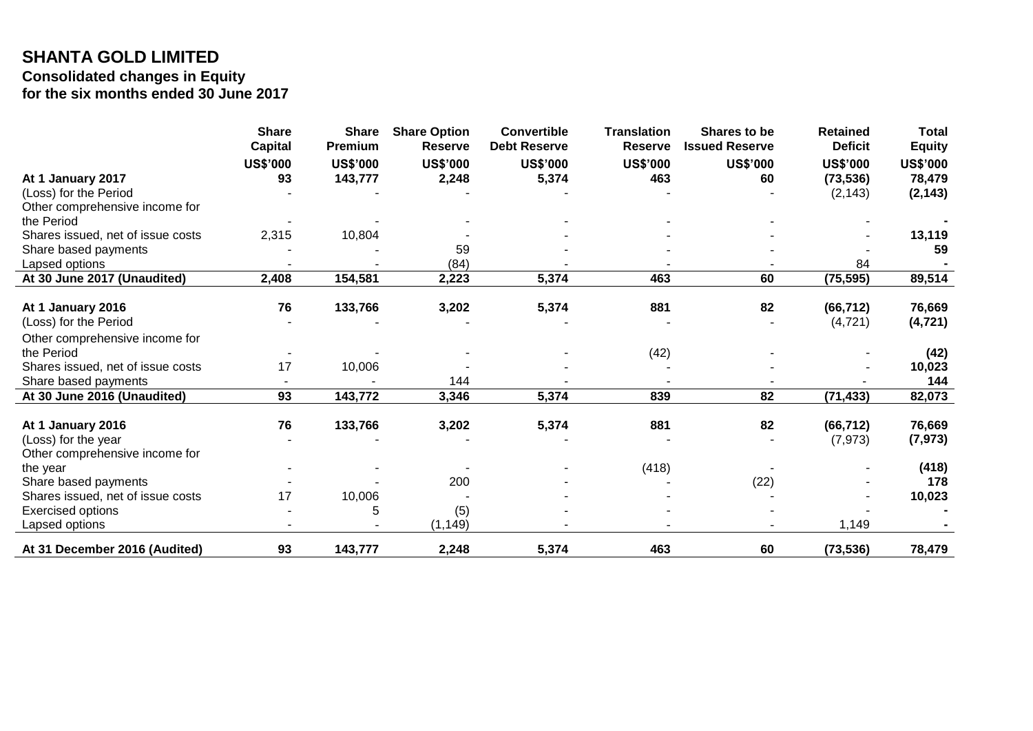# **SHANTA GOLD LIMITED Consolidated changes in Equity for the six months ended 30 June 2017**

|                                   | <b>Share</b><br><b>Capital</b> | <b>Share</b><br>Premium | <b>Share Option</b><br><b>Reserve</b> | <b>Convertible</b><br><b>Debt Reserve</b> | <b>Translation</b><br><b>Reserve</b> | Shares to be<br><b>Issued Reserve</b> | <b>Retained</b><br><b>Deficit</b> | <b>Total</b><br><b>Equity</b> |
|-----------------------------------|--------------------------------|-------------------------|---------------------------------------|-------------------------------------------|--------------------------------------|---------------------------------------|-----------------------------------|-------------------------------|
|                                   |                                |                         |                                       |                                           |                                      |                                       |                                   |                               |
|                                   | <b>US\$'000</b>                | <b>US\$'000</b>         | <b>US\$'000</b>                       | <b>US\$'000</b>                           | <b>US\$'000</b>                      | <b>US\$'000</b>                       | <b>US\$'000</b>                   | <b>US\$'000</b>               |
| At 1 January 2017                 | 93                             | 143,777                 | 2,248                                 | 5,374                                     | 463                                  | 60                                    | (73, 536)                         | 78,479                        |
| (Loss) for the Period             |                                |                         |                                       |                                           |                                      |                                       | (2, 143)                          | (2, 143)                      |
| Other comprehensive income for    |                                |                         |                                       |                                           |                                      |                                       |                                   |                               |
| the Period                        |                                |                         |                                       |                                           |                                      |                                       |                                   |                               |
| Shares issued, net of issue costs | 2,315                          | 10,804                  |                                       |                                           |                                      |                                       |                                   | 13,119                        |
| Share based payments              |                                |                         | 59                                    |                                           |                                      |                                       |                                   | 59                            |
| Lapsed options                    |                                |                         | (84)                                  |                                           |                                      |                                       | 84                                |                               |
| At 30 June 2017 (Unaudited)       | 2,408                          | 154,581                 | 2,223                                 | 5,374                                     | 463                                  | 60                                    | (75, 595)                         | 89,514                        |
|                                   |                                |                         |                                       |                                           |                                      |                                       |                                   |                               |
| At 1 January 2016                 | 76                             | 133,766                 | 3,202                                 | 5,374                                     | 881                                  | 82                                    | (66, 712)                         | 76,669                        |
| (Loss) for the Period             |                                |                         |                                       |                                           |                                      |                                       | (4, 721)                          | (4, 721)                      |
| Other comprehensive income for    |                                |                         |                                       |                                           |                                      |                                       |                                   |                               |
| the Period                        |                                |                         |                                       |                                           | (42)                                 |                                       |                                   | (42)                          |
| Shares issued, net of issue costs | 17                             | 10,006                  |                                       |                                           |                                      |                                       |                                   | 10,023                        |
| Share based payments              |                                |                         | 144                                   |                                           |                                      |                                       |                                   | 144                           |
| At 30 June 2016 (Unaudited)       | 93                             | 143,772                 | 3,346                                 | 5,374                                     | 839                                  | 82                                    | (71, 433)                         | 82,073                        |
| At 1 January 2016                 | 76                             | 133,766                 | 3,202                                 | 5,374                                     | 881                                  | 82                                    | (66, 712)                         | 76,669                        |
| (Loss) for the year               |                                |                         |                                       |                                           |                                      |                                       | (7, 973)                          | (7, 973)                      |
| Other comprehensive income for    |                                |                         |                                       |                                           |                                      |                                       |                                   |                               |
| the year                          |                                |                         |                                       |                                           | (418)                                |                                       |                                   | (418)                         |
| Share based payments              |                                |                         | 200                                   |                                           |                                      | (22)                                  |                                   | 178                           |
| Shares issued, net of issue costs | 17                             | 10,006                  |                                       |                                           |                                      |                                       |                                   | 10,023                        |
| Exercised options                 |                                | 5                       | (5)                                   |                                           |                                      |                                       |                                   |                               |
| Lapsed options                    |                                |                         | (1, 149)                              |                                           |                                      |                                       | 1,149                             |                               |
| At 31 December 2016 (Audited)     | 93                             | 143,777                 | 2,248                                 | 5,374                                     | 463                                  | 60                                    | (73, 536)                         | 78,479                        |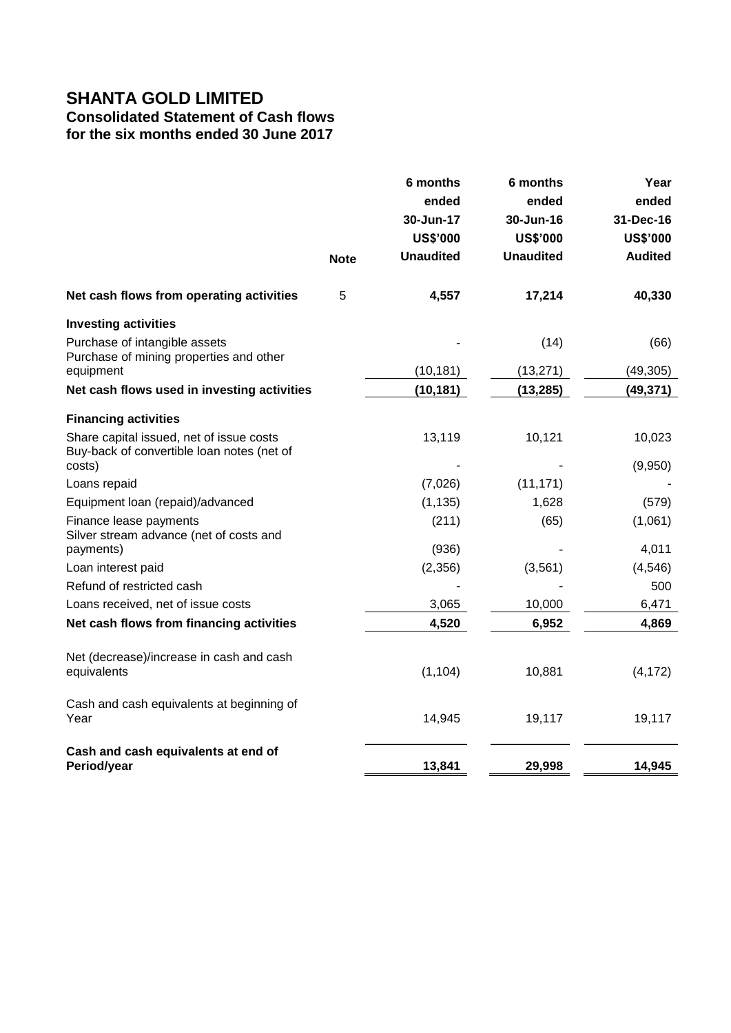# **SHANTA GOLD LIMITED**

# **Consolidated Statement of Cash flows**

**for the six months ended 30 June 2017**

|                                                                                        | <b>Note</b> | 6 months<br>ended<br>30-Jun-17<br><b>US\$'000</b><br><b>Unaudited</b> | 6 months<br>ended<br>30-Jun-16<br><b>US\$'000</b><br><b>Unaudited</b> | Year<br>ended<br>31-Dec-16<br><b>US\$'000</b><br><b>Audited</b> |
|----------------------------------------------------------------------------------------|-------------|-----------------------------------------------------------------------|-----------------------------------------------------------------------|-----------------------------------------------------------------|
| Net cash flows from operating activities                                               | 5           | 4,557                                                                 | 17,214                                                                | 40,330                                                          |
| <b>Investing activities</b>                                                            |             |                                                                       |                                                                       |                                                                 |
| Purchase of intangible assets<br>Purchase of mining properties and other               |             |                                                                       | (14)                                                                  | (66)                                                            |
| equipment                                                                              |             | (10, 181)                                                             | (13, 271)                                                             | (49, 305)                                                       |
| Net cash flows used in investing activities                                            |             | (10, 181)                                                             | (13, 285)                                                             | (49, 371)                                                       |
| <b>Financing activities</b>                                                            |             |                                                                       |                                                                       |                                                                 |
| Share capital issued, net of issue costs<br>Buy-back of convertible loan notes (net of |             | 13,119                                                                | 10,121                                                                | 10,023                                                          |
| costs)                                                                                 |             |                                                                       |                                                                       | (9,950)                                                         |
| Loans repaid                                                                           |             | (7,026)                                                               | (11, 171)                                                             |                                                                 |
| Equipment loan (repaid)/advanced                                                       |             | (1, 135)                                                              | 1,628                                                                 | (579)                                                           |
| Finance lease payments<br>Silver stream advance (net of costs and                      |             | (211)                                                                 | (65)                                                                  | (1,061)                                                         |
| payments)                                                                              |             | (936)                                                                 |                                                                       | 4,011                                                           |
| Loan interest paid                                                                     |             | (2,356)                                                               | (3, 561)                                                              | (4, 546)                                                        |
| Refund of restricted cash                                                              |             |                                                                       |                                                                       | 500                                                             |
| Loans received, net of issue costs                                                     |             | 3,065                                                                 | 10,000                                                                | 6,471                                                           |
| Net cash flows from financing activities                                               |             | 4,520                                                                 | 6,952                                                                 | 4,869                                                           |
| Net (decrease)/increase in cash and cash<br>equivalents                                |             | (1, 104)                                                              | 10,881                                                                | (4, 172)                                                        |
| Cash and cash equivalents at beginning of<br>Year                                      |             | 14,945                                                                | 19,117                                                                | 19,117                                                          |
| Cash and cash equivalents at end of<br>Period/year                                     |             | 13,841                                                                | 29,998                                                                | 14,945                                                          |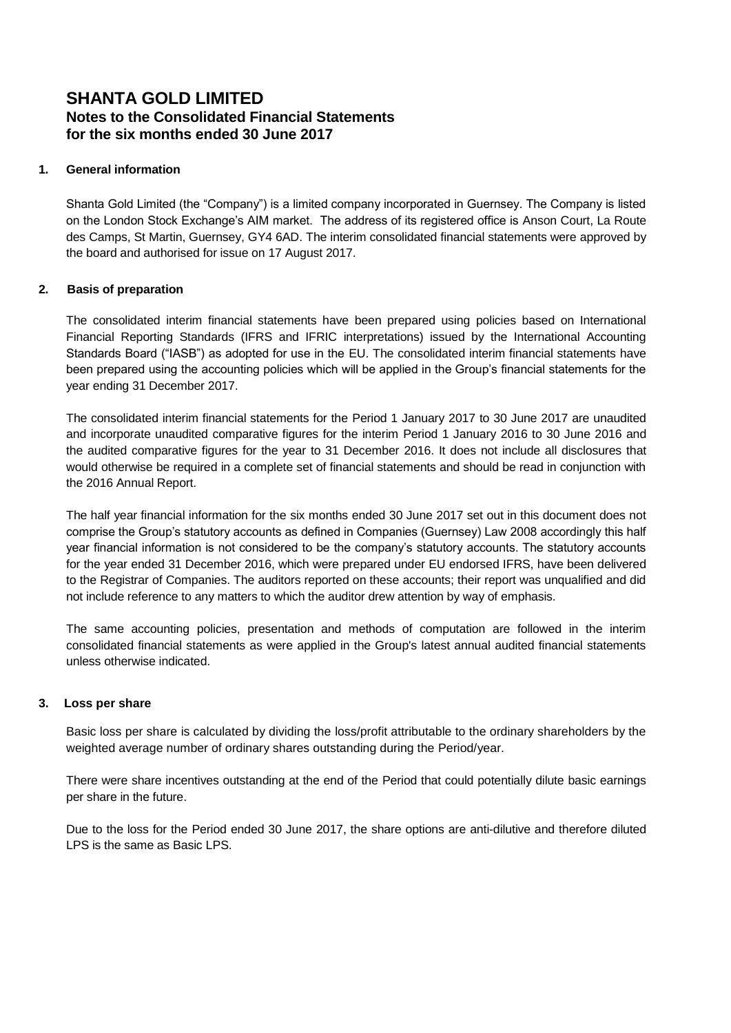### **1. General information**

Shanta Gold Limited (the "Company") is a limited company incorporated in Guernsey. The Company is listed on the London Stock Exchange's AIM market. The address of its registered office is Anson Court, La Route des Camps, St Martin, Guernsey, GY4 6AD. The interim consolidated financial statements were approved by the board and authorised for issue on 17 August 2017.

### **2. Basis of preparation**

The consolidated interim financial statements have been prepared using policies based on International Financial Reporting Standards (IFRS and IFRIC interpretations) issued by the International Accounting Standards Board ("IASB") as adopted for use in the EU. The consolidated interim financial statements have been prepared using the accounting policies which will be applied in the Group's financial statements for the year ending 31 December 2017.

The consolidated interim financial statements for the Period 1 January 2017 to 30 June 2017 are unaudited and incorporate unaudited comparative figures for the interim Period 1 January 2016 to 30 June 2016 and the audited comparative figures for the year to 31 December 2016. It does not include all disclosures that would otherwise be required in a complete set of financial statements and should be read in conjunction with the 2016 Annual Report.

The half year financial information for the six months ended 30 June 2017 set out in this document does not comprise the Group's statutory accounts as defined in Companies (Guernsey) Law 2008 accordingly this half year financial information is not considered to be the company's statutory accounts. The statutory accounts for the year ended 31 December 2016, which were prepared under EU endorsed IFRS, have been delivered to the Registrar of Companies. The auditors reported on these accounts; their report was unqualified and did not include reference to any matters to which the auditor drew attention by way of emphasis.

The same accounting policies, presentation and methods of computation are followed in the interim consolidated financial statements as were applied in the Group's latest annual audited financial statements unless otherwise indicated.

### **3. Loss per share**

Basic loss per share is calculated by dividing the loss/profit attributable to the ordinary shareholders by the weighted average number of ordinary shares outstanding during the Period/year.

There were share incentives outstanding at the end of the Period that could potentially dilute basic earnings per share in the future.

Due to the loss for the Period ended 30 June 2017, the share options are anti-dilutive and therefore diluted LPS is the same as Basic LPS.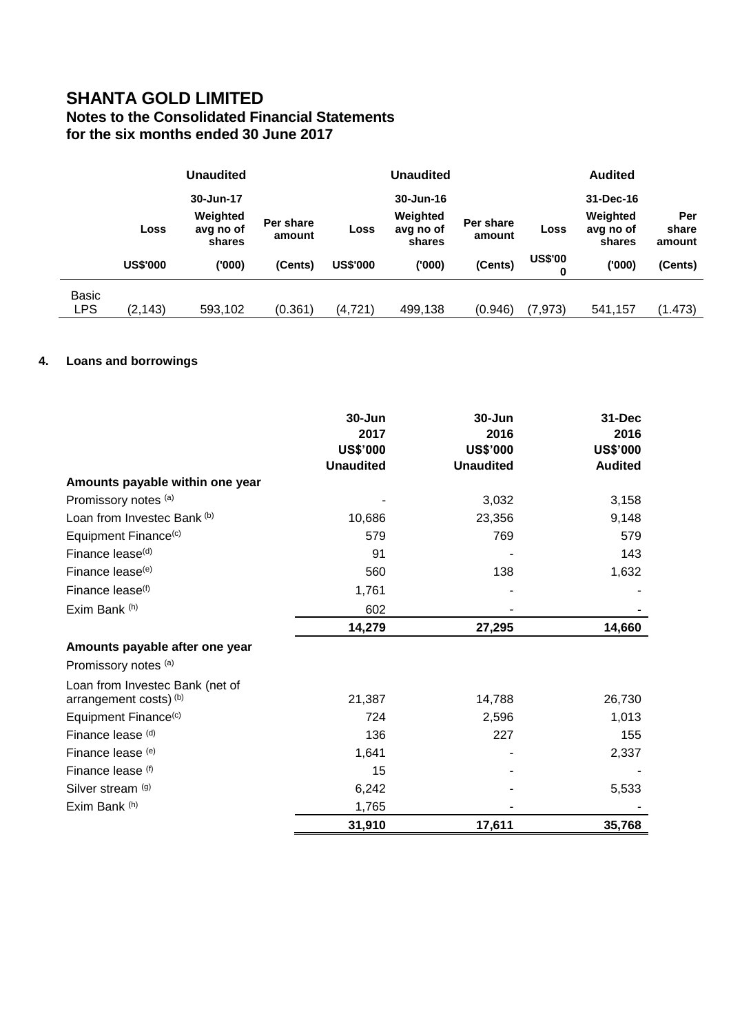|              |                 | <b>Unaudited</b>                |                     | <b>Unaudited</b> |                                 |                     |                     | <b>Audited</b>                  |                        |
|--------------|-----------------|---------------------------------|---------------------|------------------|---------------------------------|---------------------|---------------------|---------------------------------|------------------------|
|              |                 | 30-Jun-17                       |                     |                  | 30-Jun-16                       |                     |                     | 31-Dec-16                       |                        |
|              | Loss            | Weighted<br>avg no of<br>shares | Per share<br>amount | Loss             | Weighted<br>avg no of<br>shares | Per share<br>amount | Loss                | Weighted<br>avg no of<br>shares | Per<br>share<br>amount |
|              | <b>US\$'000</b> | ('000)                          | (Cents)             | <b>US\$'000</b>  | ('000)                          | (Cents)             | <b>US\$'00</b><br>0 | (000)                           | (Cents)                |
| <b>Basic</b> |                 |                                 |                     |                  |                                 |                     |                     |                                 |                        |
| <b>LPS</b>   | (2, 143)        | 593,102                         | (0.361)             | (4, 721)         | 499,138                         | (0.946)             | (7, 973)            | 541,157                         | (1.473)                |

# **4. Loans and borrowings**

|                                  | 30-Jun<br>2017<br><b>US\$'000</b><br><b>Unaudited</b> | 30-Jun<br>2016<br><b>US\$'000</b><br><b>Unaudited</b> | $31 - Dec$<br>2016<br><b>US\$'000</b><br><b>Audited</b> |
|----------------------------------|-------------------------------------------------------|-------------------------------------------------------|---------------------------------------------------------|
| Amounts payable within one year  |                                                       |                                                       |                                                         |
| Promissory notes (a)             |                                                       | 3,032                                                 | 3,158                                                   |
| Loan from Investec Bank (b)      | 10,686                                                | 23,356                                                | 9,148                                                   |
| Equipment Finance <sup>(c)</sup> | 579                                                   | 769                                                   | 579                                                     |
| Finance lease <sup>(d)</sup>     | 91                                                    |                                                       | 143                                                     |
| Finance lease <sup>(e)</sup>     | 560                                                   | 138                                                   | 1,632                                                   |
| Finance lease <sup>(f)</sup>     | 1,761                                                 |                                                       |                                                         |
| Exim Bank (h)                    | 602                                                   |                                                       |                                                         |
|                                  | 14,279                                                | 27,295                                                | 14,660                                                  |
| Amounts payable after one year   |                                                       |                                                       |                                                         |
| Promissory notes (a)             |                                                       |                                                       |                                                         |
| Loan from Investec Bank (net of  |                                                       |                                                       |                                                         |
| arrangement costs) (b)           | 21,387                                                | 14,788                                                | 26,730                                                  |
| Equipment Finance <sup>(c)</sup> | 724                                                   | 2,596                                                 | 1,013                                                   |
| Finance lease (d)                | 136                                                   | 227                                                   | 155                                                     |
| Finance lease (e)                | 1,641                                                 |                                                       | 2,337                                                   |
| Finance lease (f)                | 15                                                    |                                                       |                                                         |
| Silver stream (g)                | 6,242                                                 |                                                       | 5,533                                                   |
| Exim Bank (h)                    | 1,765                                                 |                                                       |                                                         |
|                                  | 31,910                                                | 17,611                                                | 35,768                                                  |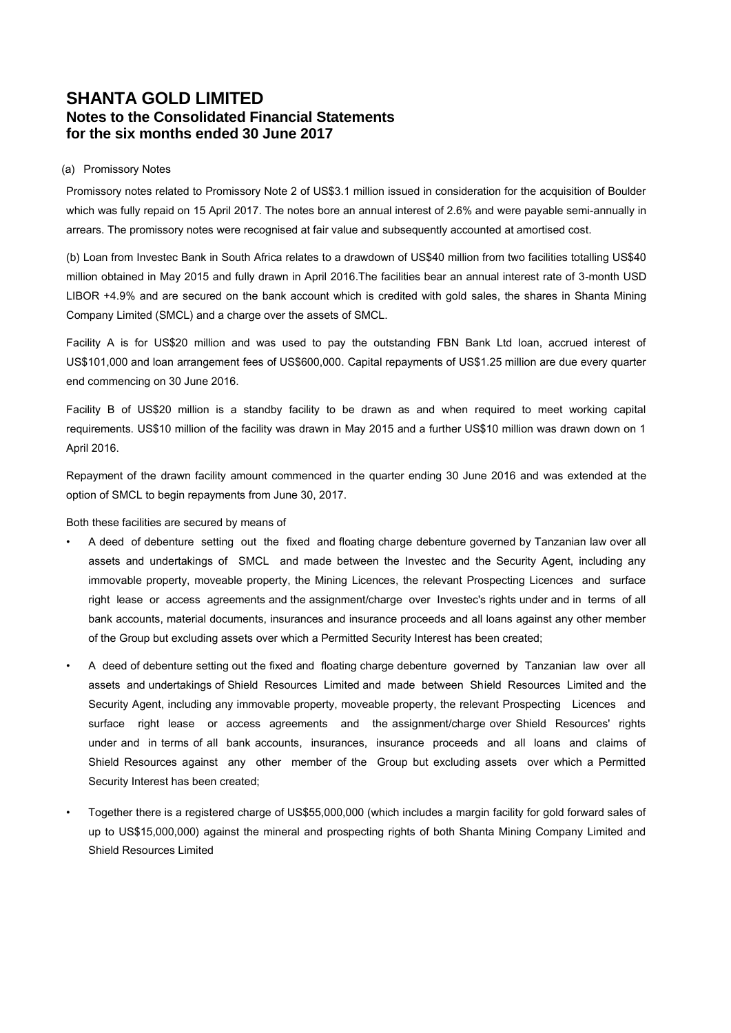### (a) Promissory Notes

Promissory notes related to Promissory Note 2 of US\$3.1 million issued in consideration for the acquisition of Boulder which was fully repaid on 15 April 2017. The notes bore an annual interest of 2.6% and were payable semi-annually in arrears. The promissory notes were recognised at fair value and subsequently accounted at amortised cost.

(b) Loan from Investec Bank in South Africa relates to a drawdown of US\$40 million from two facilities totalling US\$40 million obtained in May 2015 and fully drawn in April 2016.The facilities bear an annual interest rate of 3-month USD LIBOR +4.9% and are secured on the bank account which is credited with gold sales, the shares in Shanta Mining Company Limited (SMCL) and a charge over the assets of SMCL.

Facility A is for US\$20 million and was used to pay the outstanding FBN Bank Ltd loan, accrued interest of US\$101,000 and loan arrangement fees of US\$600,000. Capital repayments of US\$1.25 million are due every quarter end commencing on 30 June 2016.

Facility B of US\$20 million is a standby facility to be drawn as and when required to meet working capital requirements. US\$10 million of the facility was drawn in May 2015 and a further US\$10 million was drawn down on 1 April 2016.

Repayment of the drawn facility amount commenced in the quarter ending 30 June 2016 and was extended at the option of SMCL to begin repayments from June 30, 2017.

### Both these facilities are secured by means of

- A deed of debenture setting out the fixed and floating charge debenture governed by Tanzanian law over all assets and undertakings of SMCL and made between the Investec and the Security Agent, including any immovable property, moveable property, the Mining Licences, the relevant Prospecting Licences and surface right lease or access agreements and the assignment/charge over Investec's rights under and in terms of all bank accounts, material documents, insurances and insurance proceeds and all loans against any other member of the Group but excluding assets over which a Permitted Security Interest has been created;
- A deed of debenture setting out the fixed and floating charge debenture governed by Tanzanian law over all assets and undertakings of Shield Resources Limited and made between Shield Resources Limited and the Security Agent, including any immovable property, moveable property, the relevant Prospecting Licences and surface right lease or access agreements and the assignment/charge over Shield Resources' rights under and in terms of all bank accounts, insurances, insurance proceeds and all loans and claims of Shield Resources against any other member of the Group but excluding assets over which a Permitted Security Interest has been created;
- Together there is a registered charge of US\$55,000,000 (which includes a margin facility for gold forward sales of up to US\$15,000,000) against the mineral and prospecting rights of both Shanta Mining Company Limited and Shield Resources Limited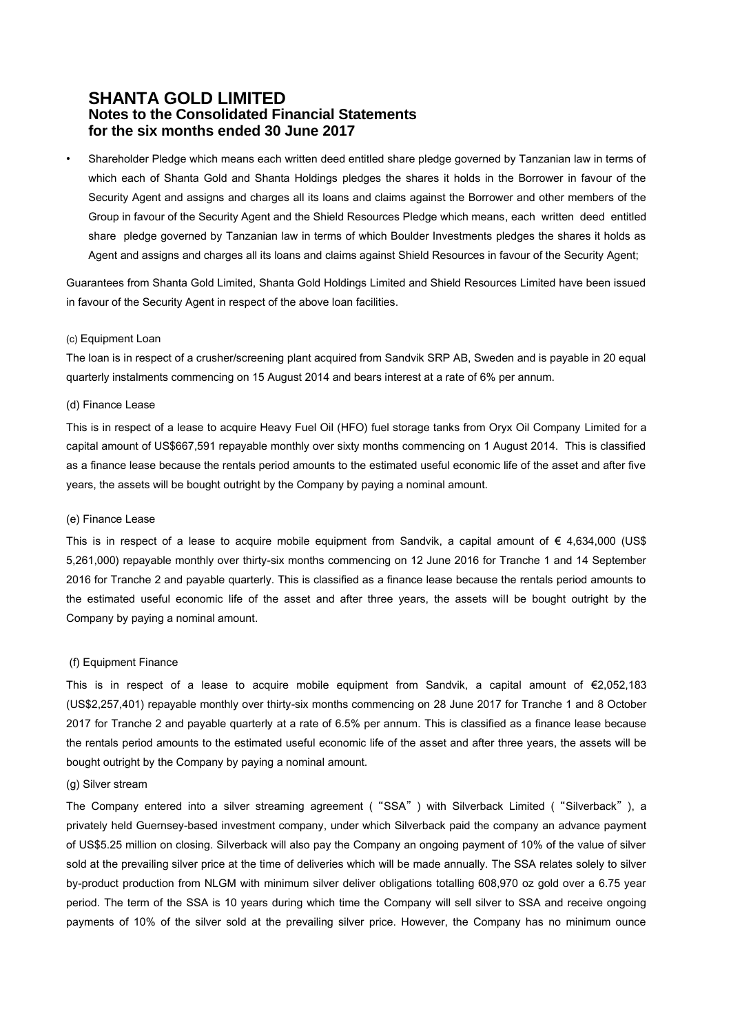• Shareholder Pledge which means each written deed entitled share pledge governed by Tanzanian law in terms of which each of Shanta Gold and Shanta Holdings pledges the shares it holds in the Borrower in favour of the Security Agent and assigns and charges all its loans and claims against the Borrower and other members of the Group in favour of the Security Agent and the Shield Resources Pledge which means, each written deed entitled share pledge governed by Tanzanian law in terms of which Boulder Investments pledges the shares it holds as Agent and assigns and charges all its loans and claims against Shield Resources in favour of the Security Agent;

Guarantees from Shanta Gold Limited, Shanta Gold Holdings Limited and Shield Resources Limited have been issued in favour of the Security Agent in respect of the above loan facilities.

#### (c) Equipment Loan

The loan is in respect of a crusher/screening plant acquired from Sandvik SRP AB, Sweden and is payable in 20 equal quarterly instalments commencing on 15 August 2014 and bears interest at a rate of 6% per annum.

### (d) Finance Lease

This is in respect of a lease to acquire Heavy Fuel Oil (HFO) fuel storage tanks from Oryx Oil Company Limited for a capital amount of US\$667,591 repayable monthly over sixty months commencing on 1 August 2014. This is classified as a finance lease because the rentals period amounts to the estimated useful economic life of the asset and after five years, the assets will be bought outright by the Company by paying a nominal amount.

### (e) Finance Lease

This is in respect of a lease to acquire mobile equipment from Sandvik, a capital amount of  $\epsilon$  4,634,000 (US\$ 5,261,000) repayable monthly over thirty-six months commencing on 12 June 2016 for Tranche 1 and 14 September 2016 for Tranche 2 and payable quarterly. This is classified as a finance lease because the rentals period amounts to the estimated useful economic life of the asset and after three years, the assets will be bought outright by the Company by paying a nominal amount.

### (f) Equipment Finance

This is in respect of a lease to acquire mobile equipment from Sandvik, a capital amount of €2,052,183 (US\$2,257,401) repayable monthly over thirty-six months commencing on 28 June 2017 for Tranche 1 and 8 October 2017 for Tranche 2 and payable quarterly at a rate of 6.5% per annum. This is classified as a finance lease because the rentals period amounts to the estimated useful economic life of the asset and after three years, the assets will be bought outright by the Company by paying a nominal amount.

### (g) Silver stream

The Company entered into a silver streaming agreement ("SSA") with Silverback Limited ("Silverback"), a privately held Guernsey-based investment company, under which Silverback paid the company an advance payment of US\$5.25 million on closing. Silverback will also pay the Company an ongoing payment of 10% of the value of silver sold at the prevailing silver price at the time of deliveries which will be made annually. The SSA relates solely to silver by-product production from NLGM with minimum silver deliver obligations totalling 608,970 oz gold over a 6.75 year period. The term of the SSA is 10 years during which time the Company will sell silver to SSA and receive ongoing payments of 10% of the silver sold at the prevailing silver price. However, the Company has no minimum ounce